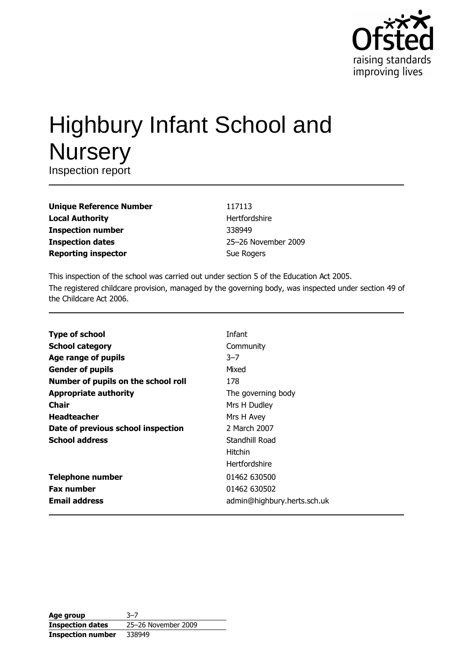

# **Highbury Infant School and Nursery**

Inspection report

| <b>Unique Reference Number</b> |
|--------------------------------|
| <b>Local Authority</b>         |
| <b>Inspection number</b>       |
| <b>Inspection dates</b>        |
| <b>Reporting inspector</b>     |

117113 Hertfordshire 338949 25-26 November 2009 Sue Rogers

This inspection of the school was carried out under section 5 of the Education Act 2005. The registered childcare provision, managed by the governing body, was inspected under section 49 of the Childcare Act 2006.

|                                     | <b>Infant</b>               |
|-------------------------------------|-----------------------------|
| <b>Type of school</b>               |                             |
| <b>School category</b>              | Community                   |
| Age range of pupils                 | $3 - 7$                     |
| <b>Gender of pupils</b>             | Mixed                       |
| Number of pupils on the school roll | 178                         |
| <b>Appropriate authority</b>        | The governing body          |
| <b>Chair</b>                        | Mrs H Dudley                |
| <b>Headteacher</b>                  | Mrs H Avey                  |
| Date of previous school inspection  | 2 March 2007                |
| <b>School address</b>               | Standhill Road              |
|                                     | Hitchin                     |
|                                     | <b>Hertfordshire</b>        |
| <b>Telephone number</b>             | 01462 630500                |
| <b>Fax number</b>                   | 01462 630502                |
| <b>Email address</b>                | admin@highbury.herts.sch.uk |

| Age group                | $3 - 7$             |
|--------------------------|---------------------|
| <b>Inspection dates</b>  | 25-26 November 2009 |
| <b>Inspection number</b> | 338949              |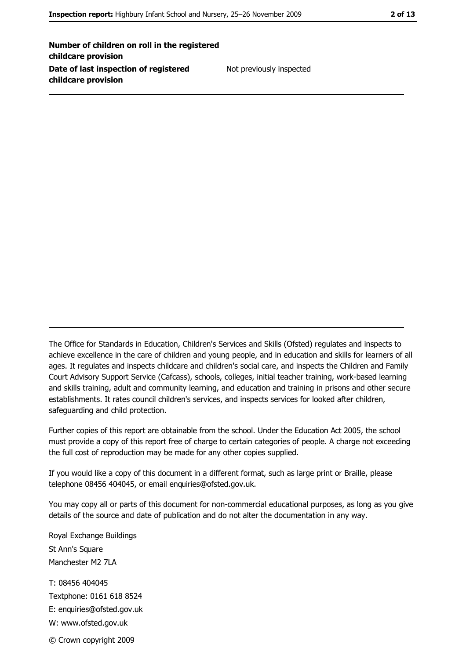Number of children on roll in the registered childcare provision Date of last inspection of registered childcare provision

Not previously inspected

The Office for Standards in Education, Children's Services and Skills (Ofsted) regulates and inspects to achieve excellence in the care of children and young people, and in education and skills for learners of all ages. It regulates and inspects childcare and children's social care, and inspects the Children and Family Court Advisory Support Service (Cafcass), schools, colleges, initial teacher training, work-based learning and skills training, adult and community learning, and education and training in prisons and other secure establishments. It rates council children's services, and inspects services for looked after children, safequarding and child protection.

Further copies of this report are obtainable from the school. Under the Education Act 2005, the school must provide a copy of this report free of charge to certain categories of people. A charge not exceeding the full cost of reproduction may be made for any other copies supplied.

If you would like a copy of this document in a different format, such as large print or Braille, please telephone 08456 404045, or email enquiries@ofsted.gov.uk.

You may copy all or parts of this document for non-commercial educational purposes, as long as you give details of the source and date of publication and do not alter the documentation in any way.

Royal Exchange Buildings St Ann's Square Manchester M2 7LA T: 08456 404045 Textphone: 0161 618 8524 E: enquiries@ofsted.gov.uk W: www.ofsted.gov.uk © Crown copyright 2009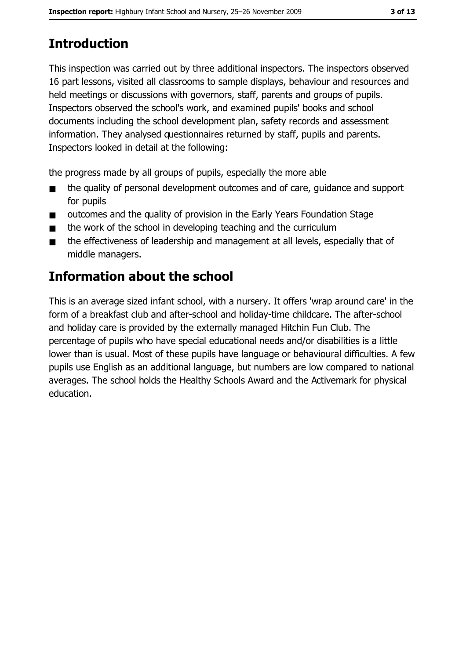# **Introduction**

This inspection was carried out by three additional inspectors. The inspectors observed 16 part lessons, visited all classrooms to sample displays, behaviour and resources and held meetings or discussions with governors, staff, parents and groups of pupils. Inspectors observed the school's work, and examined pupils' books and school documents including the school development plan, safety records and assessment information. They analysed questionnaires returned by staff, pupils and parents. Inspectors looked in detail at the following:

the progress made by all groups of pupils, especially the more able

- the quality of personal development outcomes and of care, quidance and support  $\blacksquare$ for pupils
- outcomes and the quality of provision in the Early Years Foundation Stage  $\blacksquare$
- the work of the school in developing teaching and the curriculum  $\blacksquare$
- the effectiveness of leadership and management at all levels, especially that of  $\blacksquare$ middle managers.

# **Information about the school**

This is an average sized infant school, with a nursery. It offers 'wrap around care' in the form of a breakfast club and after-school and holiday-time childcare. The after-school and holiday care is provided by the externally managed Hitchin Fun Club. The percentage of pupils who have special educational needs and/or disabilities is a little lower than is usual. Most of these pupils have language or behavioural difficulties. A few pupils use English as an additional language, but numbers are low compared to national averages. The school holds the Healthy Schools Award and the Activemark for physical education.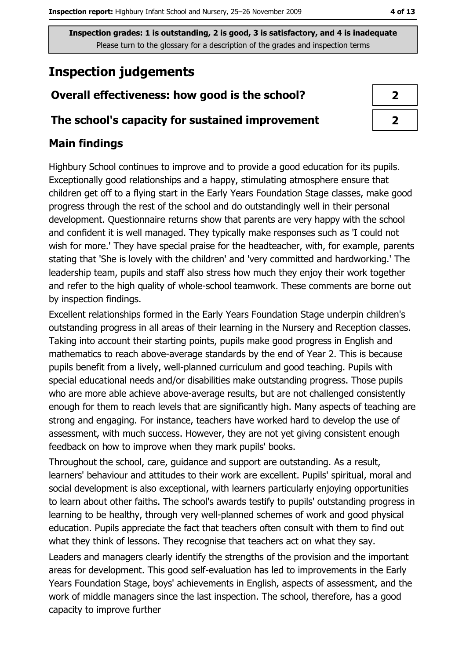## **Inspection judgements**

## Overall effectiveness: how good is the school?

#### The school's capacity for sustained improvement

## **Main findings**

Highbury School continues to improve and to provide a good education for its pupils. Exceptionally good relationships and a happy, stimulating atmosphere ensure that children get off to a flying start in the Early Years Foundation Stage classes, make good progress through the rest of the school and do outstandingly well in their personal development. Questionnaire returns show that parents are very happy with the school and confident it is well managed. They typically make responses such as 'I could not wish for more.' They have special praise for the headteacher, with, for example, parents stating that 'She is lovely with the children' and 'very committed and hardworking.' The leadership team, pupils and staff also stress how much they enjoy their work together and refer to the high quality of whole-school teamwork. These comments are borne out by inspection findings.

Excellent relationships formed in the Early Years Foundation Stage underpin children's outstanding progress in all areas of their learning in the Nursery and Reception classes. Taking into account their starting points, pupils make good progress in English and mathematics to reach above-average standards by the end of Year 2. This is because pupils benefit from a lively, well-planned curriculum and good teaching. Pupils with special educational needs and/or disabilities make outstanding progress. Those pupils who are more able achieve above-average results, but are not challenged consistently enough for them to reach levels that are significantly high. Many aspects of teaching are strong and engaging. For instance, teachers have worked hard to develop the use of assessment, with much success. However, they are not yet giving consistent enough feedback on how to improve when they mark pupils' books.

Throughout the school, care, guidance and support are outstanding. As a result, learners' behaviour and attitudes to their work are excellent. Pupils' spiritual, moral and social development is also exceptional, with learners particularly enjoying opportunities to learn about other faiths. The school's awards testify to pupils' outstanding progress in learning to be healthy, through very well-planned schemes of work and good physical education. Pupils appreciate the fact that teachers often consult with them to find out what they think of lessons. They recognise that teachers act on what they say.

Leaders and managers clearly identify the strengths of the provision and the important areas for development. This good self-evaluation has led to improvements in the Early Years Foundation Stage, boys' achievements in English, aspects of assessment, and the work of middle managers since the last inspection. The school, therefore, has a good capacity to improve further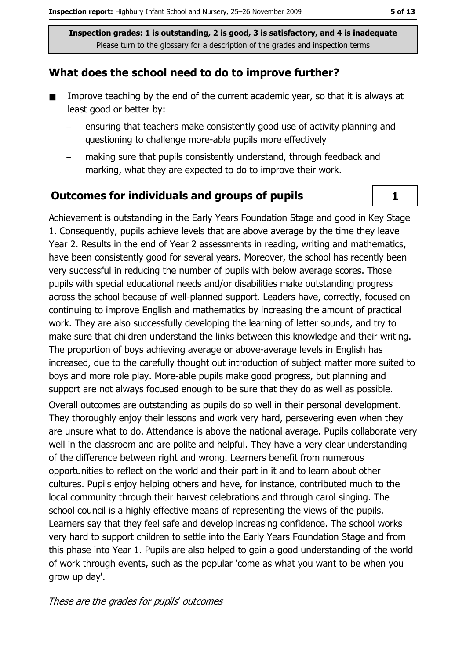#### What does the school need to do to improve further?

- $\blacksquare$ Improve teaching by the end of the current academic year, so that it is always at least good or better by:
	- ensuring that teachers make consistently good use of activity planning and questioning to challenge more-able pupils more effectively
	- making sure that pupils consistently understand, through feedback and marking, what they are expected to do to improve their work.

#### **Outcomes for individuals and groups of pupils**

Achievement is outstanding in the Early Years Foundation Stage and good in Key Stage 1. Consequently, pupils achieve levels that are above average by the time they leave Year 2. Results in the end of Year 2 assessments in reading, writing and mathematics, have been consistently good for several years. Moreover, the school has recently been very successful in reducing the number of pupils with below average scores. Those pupils with special educational needs and/or disabilities make outstanding progress across the school because of well-planned support. Leaders have, correctly, focused on continuing to improve English and mathematics by increasing the amount of practical work. They are also successfully developing the learning of letter sounds, and try to make sure that children understand the links between this knowledge and their writing. The proportion of boys achieving average or above-average levels in English has increased, due to the carefully thought out introduction of subject matter more suited to boys and more role play. More-able pupils make good progress, but planning and support are not always focused enough to be sure that they do as well as possible.

Overall outcomes are outstanding as pupils do so well in their personal development. They thoroughly enjoy their lessons and work very hard, persevering even when they are unsure what to do. Attendance is above the national average. Pupils collaborate very well in the classroom and are polite and helpful. They have a very clear understanding of the difference between right and wrong. Learners benefit from numerous opportunities to reflect on the world and their part in it and to learn about other cultures. Pupils enjoy helping others and have, for instance, contributed much to the local community through their harvest celebrations and through carol singing. The school council is a highly effective means of representing the views of the pupils. Learners say that they feel safe and develop increasing confidence. The school works very hard to support children to settle into the Early Years Foundation Stage and from this phase into Year 1. Pupils are also helped to gain a good understanding of the world of work through events, such as the popular 'come as what you want to be when you grow up day'.

These are the grades for pupils' outcomes

 $\mathbf{1}$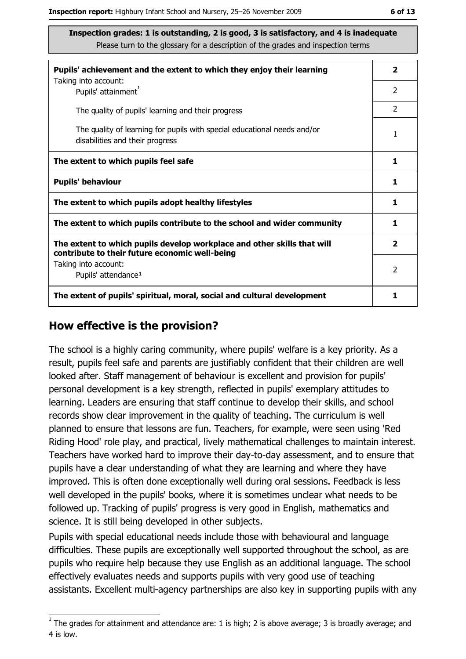| Pupils' achievement and the extent to which they enjoy their learning                                                     | $\overline{2}$          |
|---------------------------------------------------------------------------------------------------------------------------|-------------------------|
| Taking into account:<br>Pupils' attainment <sup>1</sup>                                                                   | 2                       |
| The quality of pupils' learning and their progress                                                                        | $\mathcal{P}$           |
| The quality of learning for pupils with special educational needs and/or<br>disabilities and their progress               | 1                       |
| The extent to which pupils feel safe                                                                                      | 1                       |
| <b>Pupils' behaviour</b>                                                                                                  | 1                       |
| The extent to which pupils adopt healthy lifestyles                                                                       | 1                       |
| The extent to which pupils contribute to the school and wider community                                                   | 1                       |
| The extent to which pupils develop workplace and other skills that will<br>contribute to their future economic well-being | $\overline{\mathbf{2}}$ |
| Taking into account:<br>Pupils' attendance <sup>1</sup>                                                                   | $\mathcal{P}$           |
| The extent of pupils' spiritual, moral, social and cultural development                                                   | 1                       |

#### How effective is the provision?

The school is a highly caring community, where pupils' welfare is a key priority. As a result, pupils feel safe and parents are justifiably confident that their children are well looked after. Staff management of behaviour is excellent and provision for pupils' personal development is a key strength, reflected in pupils' exemplary attitudes to learning. Leaders are ensuring that staff continue to develop their skills, and school records show clear improvement in the quality of teaching. The curriculum is well planned to ensure that lessons are fun. Teachers, for example, were seen using 'Red Riding Hood' role play, and practical, lively mathematical challenges to maintain interest. Teachers have worked hard to improve their day-to-day assessment, and to ensure that pupils have a clear understanding of what they are learning and where they have improved. This is often done exceptionally well during oral sessions. Feedback is less well developed in the pupils' books, where it is sometimes unclear what needs to be followed up. Tracking of pupils' progress is very good in English, mathematics and science. It is still being developed in other subjects.

Pupils with special educational needs include those with behavioural and language difficulties. These pupils are exceptionally well supported throughout the school, as are pupils who require help because they use English as an additional language. The school effectively evaluates needs and supports pupils with very good use of teaching assistants. Excellent multi-agency partnerships are also key in supporting pupils with any

 $1$  The grades for attainment and attendance are: 1 is high; 2 is above average; 3 is broadly average; and 4 is low.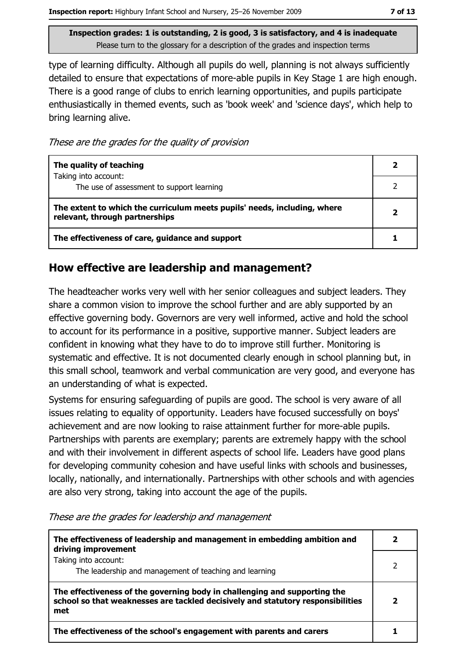type of learning difficulty. Although all pupils do well, planning is not always sufficiently detailed to ensure that expectations of more-able pupils in Key Stage 1 are high enough. There is a good range of clubs to enrich learning opportunities, and pupils participate enthusiastically in themed events, such as 'book week' and 'science days', which help to bring learning alive.

These are the grades for the quality of provision

| The quality of teaching                                                                                    |  |
|------------------------------------------------------------------------------------------------------------|--|
| Taking into account:<br>The use of assessment to support learning                                          |  |
| The extent to which the curriculum meets pupils' needs, including, where<br>relevant, through partnerships |  |
| The effectiveness of care, guidance and support                                                            |  |

### How effective are leadership and management?

The headteacher works very well with her senior colleagues and subject leaders. They share a common vision to improve the school further and are ably supported by an effective governing body. Governors are very well informed, active and hold the school to account for its performance in a positive, supportive manner. Subject leaders are confident in knowing what they have to do to improve still further. Monitoring is systematic and effective. It is not documented clearly enough in school planning but, in this small school, teamwork and verbal communication are very good, and everyone has an understanding of what is expected.

Systems for ensuring safeguarding of pupils are good. The school is very aware of all issues relating to equality of opportunity. Leaders have focused successfully on boys' achievement and are now looking to raise attainment further for more-able pupils. Partnerships with parents are exemplary; parents are extremely happy with the school and with their involvement in different aspects of school life. Leaders have good plans for developing community cohesion and have useful links with schools and businesses, locally, nationally, and internationally. Partnerships with other schools and with agencies are also very strong, taking into account the age of the pupils.

| The effectiveness of leadership and management in embedding ambition and<br>driving improvement                                                                     |  |
|---------------------------------------------------------------------------------------------------------------------------------------------------------------------|--|
| Taking into account:<br>The leadership and management of teaching and learning                                                                                      |  |
| The effectiveness of the governing body in challenging and supporting the<br>school so that weaknesses are tackled decisively and statutory responsibilities<br>met |  |
| The effectiveness of the school's engagement with parents and carers                                                                                                |  |

These are the grades for leadership and management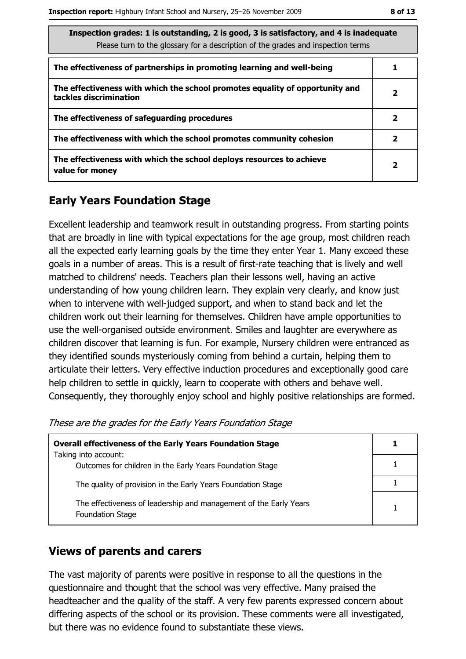| Inspection grades: 1 is outstanding, 2 is good, 3 is satisfactory, and 4 is inadequate<br>Please turn to the glossary for a description of the grades and inspection terms |                         |
|----------------------------------------------------------------------------------------------------------------------------------------------------------------------------|-------------------------|
| The effectiveness of partnerships in promoting learning and well-being                                                                                                     |                         |
| The effectiveness with which the school promotes equality of opportunity and<br>tackles discrimination                                                                     | 2                       |
| The effectiveness of safeguarding procedures                                                                                                                               | 2                       |
| The effectiveness with which the school promotes community cohesion                                                                                                        | 2                       |
| The effectiveness with which the school deploys resources to achieve<br>value for money                                                                                    | $\overline{\mathbf{2}}$ |

## **Early Years Foundation Stage**

Excellent leadership and teamwork result in outstanding progress. From starting points that are broadly in line with typical expectations for the age group, most children reach all the expected early learning goals by the time they enter Year 1. Many exceed these goals in a number of areas. This is a result of first-rate teaching that is lively and well matched to childrens' needs. Teachers plan their lessons well, having an active understanding of how young children learn. They explain very clearly, and know just when to intervene with well-judged support, and when to stand back and let the children work out their learning for themselves. Children have ample opportunities to use the well-organised outside environment. Smiles and laughter are everywhere as children discover that learning is fun. For example, Nursery children were entranced as they identified sounds mysteriously coming from behind a curtain, helping them to articulate their letters. Very effective induction procedures and exceptionally good care help children to settle in quickly, learn to cooperate with others and behave well. Consequently, they thoroughly enjoy school and highly positive relationships are formed.

These are the grades for the Early Years Foundation Stage

| <b>Overall effectiveness of the Early Years Foundation Stage</b><br>Taking into account:     |  |
|----------------------------------------------------------------------------------------------|--|
| Outcomes for children in the Early Years Foundation Stage                                    |  |
|                                                                                              |  |
| The quality of provision in the Early Years Foundation Stage                                 |  |
| The effectiveness of leadership and management of the Early Years<br><b>Foundation Stage</b> |  |

#### **Views of parents and carers**

The vast majority of parents were positive in response to all the questions in the questionnaire and thought that the school was very effective. Many praised the headteacher and the quality of the staff. A very few parents expressed concern about differing aspects of the school or its provision. These comments were all investigated, but there was no evidence found to substantiate these views.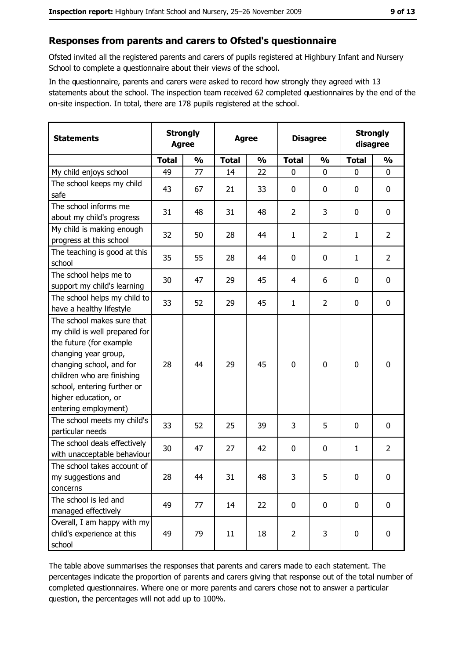#### Responses from parents and carers to Ofsted's questionnaire

Ofsted invited all the registered parents and carers of pupils registered at Highbury Infant and Nursery School to complete a questionnaire about their views of the school.

In the questionnaire, parents and carers were asked to record how strongly they agreed with 13 statements about the school. The inspection team received 62 completed questionnaires by the end of the on-site inspection. In total, there are 178 pupils registered at the school.

| <b>Statements</b>                                                                                                                                                                                                                                       | <b>Strongly</b><br><b>Agree</b> |               | <b>Agree</b> |               | <b>Disagree</b> |                |              | <b>Strongly</b><br>disagree |
|---------------------------------------------------------------------------------------------------------------------------------------------------------------------------------------------------------------------------------------------------------|---------------------------------|---------------|--------------|---------------|-----------------|----------------|--------------|-----------------------------|
|                                                                                                                                                                                                                                                         | <b>Total</b>                    | $\frac{0}{0}$ | <b>Total</b> | $\frac{0}{0}$ | <b>Total</b>    | $\frac{1}{2}$  | <b>Total</b> | $\frac{0}{0}$               |
| My child enjoys school                                                                                                                                                                                                                                  | 49                              | 77            | 14           | 22            | $\mathbf{0}$    | $\mathbf{0}$   | $\mathbf{0}$ | $\mathbf{0}$                |
| The school keeps my child<br>safe                                                                                                                                                                                                                       | 43                              | 67            | 21           | 33            | $\mathbf 0$     | 0              | 0            | $\mathbf 0$                 |
| The school informs me<br>about my child's progress                                                                                                                                                                                                      | 31                              | 48            | 31           | 48            | $\overline{2}$  | 3              | 0            | 0                           |
| My child is making enough<br>progress at this school                                                                                                                                                                                                    | 32                              | 50            | 28           | 44            | $\mathbf{1}$    | $\overline{2}$ | $\mathbf{1}$ | $\overline{2}$              |
| The teaching is good at this<br>school                                                                                                                                                                                                                  | 35                              | 55            | 28           | 44            | $\mathbf 0$     | 0              | 1            | $\overline{2}$              |
| The school helps me to<br>support my child's learning                                                                                                                                                                                                   | 30                              | 47            | 29           | 45            | $\overline{4}$  | 6              | 0            | $\mathbf 0$                 |
| The school helps my child to<br>have a healthy lifestyle                                                                                                                                                                                                | 33                              | 52            | 29           | 45            | $\mathbf{1}$    | $\overline{2}$ | 0            | $\mathbf 0$                 |
| The school makes sure that<br>my child is well prepared for<br>the future (for example<br>changing year group,<br>changing school, and for<br>children who are finishing<br>school, entering further or<br>higher education, or<br>entering employment) | 28                              | 44            | 29           | 45            | $\mathbf 0$     | $\mathbf 0$    | $\mathbf 0$  | $\mathbf 0$                 |
| The school meets my child's<br>particular needs                                                                                                                                                                                                         | 33                              | 52            | 25           | 39            | 3               | 5              | 0            | $\mathbf 0$                 |
| The school deals effectively<br>with unacceptable behaviour                                                                                                                                                                                             | 30                              | 47            | 27           | 42            | $\mathbf 0$     | 0              | 1            | $\overline{2}$              |
| The school takes account of<br>my suggestions and<br>concerns                                                                                                                                                                                           | 28                              | 44            | 31           | 48            | 3               | 5              | 0            | $\bf{0}$                    |
| The school is led and<br>managed effectively                                                                                                                                                                                                            | 49                              | 77            | 14           | 22            | $\mathbf 0$     | 0              | $\mathbf 0$  | $\mathbf 0$                 |
| Overall, I am happy with my<br>child's experience at this<br>school                                                                                                                                                                                     | 49                              | 79            | 11           | 18            | $\overline{2}$  | 3              | 0            | $\mathbf 0$                 |

The table above summarises the responses that parents and carers made to each statement. The percentages indicate the proportion of parents and carers giving that response out of the total number of completed questionnaires. Where one or more parents and carers chose not to answer a particular question, the percentages will not add up to 100%.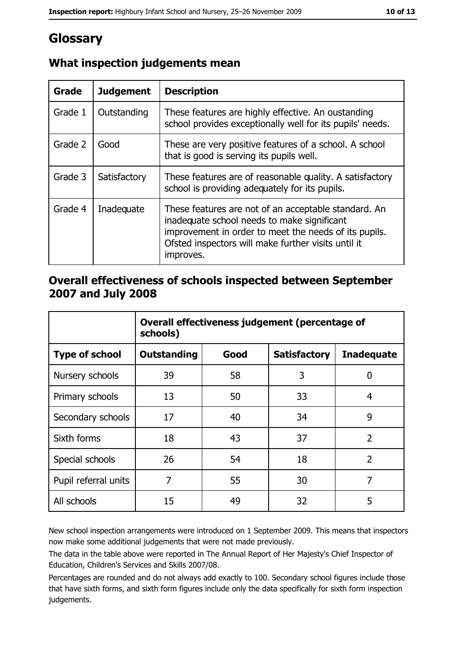# Glossary

| <b>Grade</b> | <b>Judgement</b> | <b>Description</b>                                                                                                                                                                                                               |
|--------------|------------------|----------------------------------------------------------------------------------------------------------------------------------------------------------------------------------------------------------------------------------|
| Grade 1      | Outstanding      | These features are highly effective. An oustanding<br>school provides exceptionally well for its pupils' needs.                                                                                                                  |
| Grade 2      | Good             | These are very positive features of a school. A school<br>that is good is serving its pupils well.                                                                                                                               |
| Grade 3      | Satisfactory     | These features are of reasonable quality. A satisfactory<br>school is providing adequately for its pupils.                                                                                                                       |
| Grade 4      | Inadequate       | These features are not of an acceptable standard. An<br>inadequate school needs to make significant<br>improvement in order to meet the needs of its pupils.<br>Ofsted inspectors will make further visits until it<br>improves. |

## What inspection judgements mean

### Overall effectiveness of schools inspected between September 2007 and July 2008

|                       | Overall effectiveness judgement (percentage of<br>schools) |      |                     |                   |  |
|-----------------------|------------------------------------------------------------|------|---------------------|-------------------|--|
| <b>Type of school</b> | <b>Outstanding</b>                                         | Good | <b>Satisfactory</b> | <b>Inadequate</b> |  |
| Nursery schools       | 39                                                         | 58   | 3                   | 0                 |  |
| Primary schools       | 13                                                         | 50   | 33                  | 4                 |  |
| Secondary schools     | 17                                                         | 40   | 34                  | 9                 |  |
| Sixth forms           | 18                                                         | 43   | 37                  | $\overline{2}$    |  |
| Special schools       | 26                                                         | 54   | 18                  | $\overline{2}$    |  |
| Pupil referral units  | 7                                                          | 55   | 30                  | 7                 |  |
| All schools           | 15                                                         | 49   | 32                  | 5                 |  |

New school inspection arrangements were introduced on 1 September 2009. This means that inspectors now make some additional judgements that were not made previously.

The data in the table above were reported in The Annual Report of Her Majesty's Chief Inspector of Education, Children's Services and Skills 2007/08.

Percentages are rounded and do not always add exactly to 100. Secondary school figures include those that have sixth forms, and sixth form figures include only the data specifically for sixth form inspection judgements.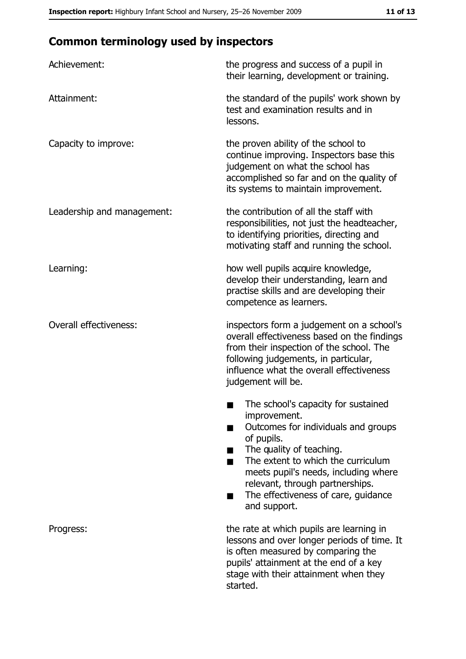# **Common terminology used by inspectors**

| Achievement:                  | the progress and success of a pupil in<br>their learning, development or training.                                                                                                                                                                                                                           |
|-------------------------------|--------------------------------------------------------------------------------------------------------------------------------------------------------------------------------------------------------------------------------------------------------------------------------------------------------------|
| Attainment:                   | the standard of the pupils' work shown by<br>test and examination results and in<br>lessons.                                                                                                                                                                                                                 |
| Capacity to improve:          | the proven ability of the school to<br>continue improving. Inspectors base this<br>judgement on what the school has<br>accomplished so far and on the quality of<br>its systems to maintain improvement.                                                                                                     |
| Leadership and management:    | the contribution of all the staff with<br>responsibilities, not just the headteacher,<br>to identifying priorities, directing and<br>motivating staff and running the school.                                                                                                                                |
| Learning:                     | how well pupils acquire knowledge,<br>develop their understanding, learn and<br>practise skills and are developing their<br>competence as learners.                                                                                                                                                          |
| <b>Overall effectiveness:</b> | inspectors form a judgement on a school's<br>overall effectiveness based on the findings<br>from their inspection of the school. The<br>following judgements, in particular,<br>influence what the overall effectiveness<br>judgement will be.                                                               |
|                               | The school's capacity for sustained<br>improvement.<br>Outcomes for individuals and groups<br>of pupils.<br>The quality of teaching.<br>The extent to which the curriculum<br>meets pupil's needs, including where<br>relevant, through partnerships.<br>The effectiveness of care, guidance<br>and support. |
| Progress:                     | the rate at which pupils are learning in<br>lessons and over longer periods of time. It<br>is often measured by comparing the<br>pupils' attainment at the end of a key<br>stage with their attainment when they<br>started.                                                                                 |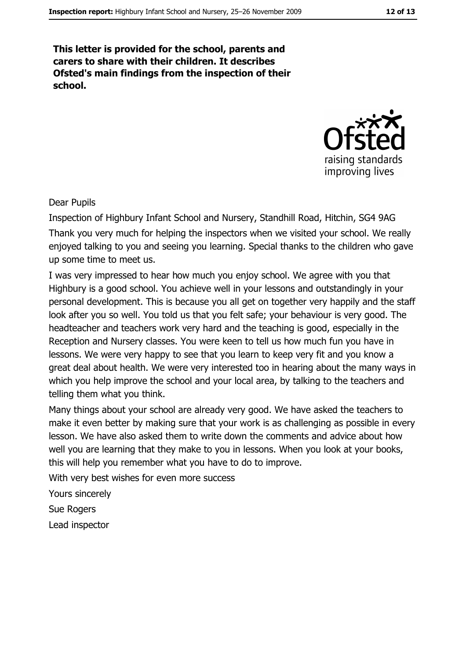This letter is provided for the school, parents and carers to share with their children. It describes Ofsted's main findings from the inspection of their school.



#### **Dear Pupils**

Inspection of Highbury Infant School and Nursery, Standhill Road, Hitchin, SG4 9AG Thank you very much for helping the inspectors when we visited your school. We really enjoyed talking to you and seeing you learning. Special thanks to the children who gave up some time to meet us.

I was very impressed to hear how much you enjoy school. We agree with you that Highbury is a good school. You achieve well in your lessons and outstandingly in your personal development. This is because you all get on together very happily and the staff look after you so well. You told us that you felt safe; your behaviour is very good. The headteacher and teachers work very hard and the teaching is good, especially in the Reception and Nursery classes. You were keen to tell us how much fun you have in lessons. We were very happy to see that you learn to keep very fit and you know a great deal about health. We were very interested too in hearing about the many ways in which you help improve the school and your local area, by talking to the teachers and telling them what you think.

Many things about your school are already very good. We have asked the teachers to make it even better by making sure that your work is as challenging as possible in every lesson. We have also asked them to write down the comments and advice about how well you are learning that they make to you in lessons. When you look at your books, this will help you remember what you have to do to improve.

With very best wishes for even more success

Yours sincerely

**Sue Rogers** 

Lead inspector